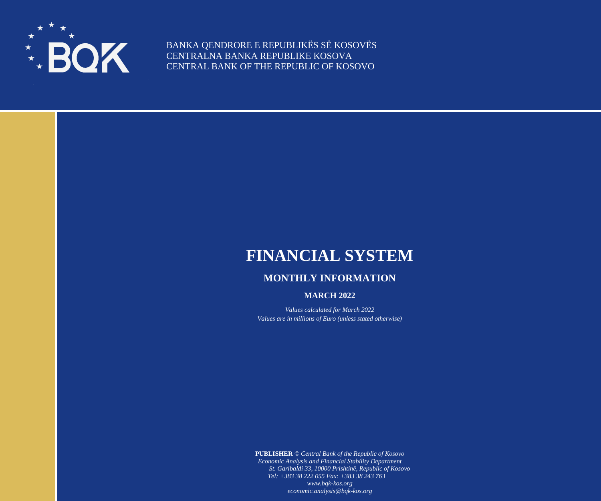

BANKA QENDRORE E REPUBLIKËS SË KOSOVËS CENTRALNA BANKA REPUBLIKE KOSOVA CENTRAL BANK OF THE REPUBLIC OF KOSOVO

## **FINANCIAL SYSTEM**

## **MONTHLY INFORMATION**

## **MARCH 2022**

*Values calculated for March 2022 Values are in millions of Euro (unless stated otherwise)*

**PUBLISHER** *© Central Bank of the Republic of Kosovo Economic Analysis and Financial Stability Department St. Garibaldi 33, 10000 Prishtinë, Republic of Kosovo Tel: +383 38 222 055 Fax: +383 38 243 763 www.bqk-kos.org [economic.analysis@bqk-kos.org](mailto:economic.analysis@bqk-kos.org)*